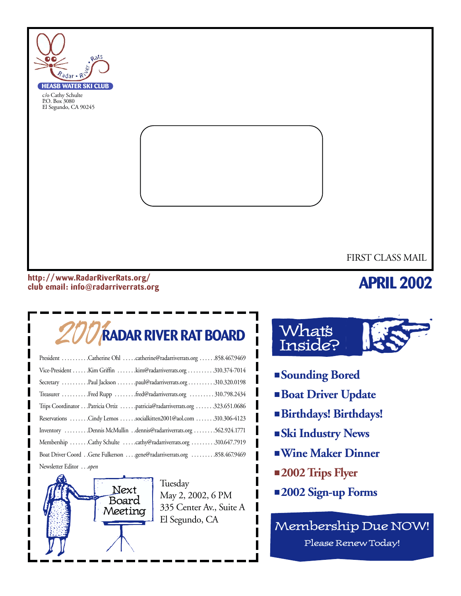

#### **http: //www.RadarRiverRats.org/ club email: info@radarriverrats.org**

### **APRIL 2002**

# 2001**RADAR RIVER RAT BOARD**

| President Catherine Ohl catherine@radarriverrats.org 858.467.9469         |
|---------------------------------------------------------------------------|
| Vice-President  Kim Griffin  kim@radarriverrats.org  310.374-7014         |
| Secretary Paul Jackson paul@radarriverrats.org310.320.0198                |
| Treasurer Fred Rupp fred@radarriverrats.org  310.798.2434                 |
| Trips Coordinator Patricia Ortiz patricia@radarriverrats.org 323.651.0686 |
| Reservations Cindy Lemos socialkitten2001@aol.com 310.306-4123            |
| Inventory Dennis McMullin dennis@radarriverrats.org 562.924.1771          |
| Membership Cathy Schulte cathy@radarriverrats.org 310.647.7919            |
|                                                                           |
| Newsletter Editor open                                                    |



Tuesday May 2, 2002, 6 PM 335 Center Av., Suite A El Segundo, CA



- **Sounding Bored**
- **Boat Driver Update**
- **Birthdays! Birthdays!**
- **Ski Industry News**
- ■**Wine Maker Dinner**
- **2002 Trips Flyer**
- **2002 Sign-up Forms**

Membership Due NOW! Please Renew Today!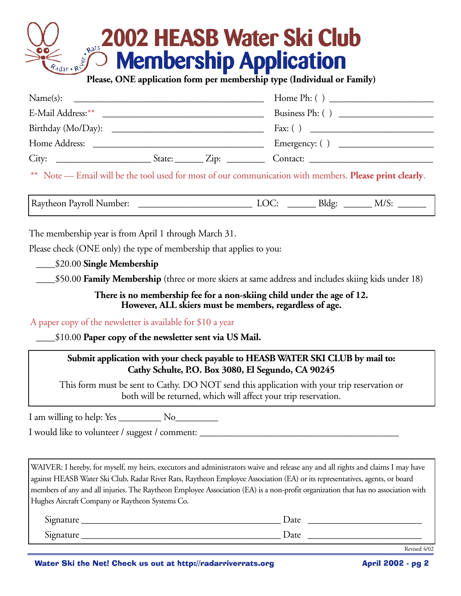# **2002 HEASB Water Ski Club Membership Application Please, ONE application form per membership type (Individual or Family)**

| Name(s):           |                               |                  |
|--------------------|-------------------------------|------------------|
| E-Mail Address: ** |                               | Business Ph: ()  |
| Birthday (Mo/Day): |                               |                  |
| Home Address:      |                               | Emergency: $( )$ |
|                    | State: $\angle$ Zip: $\angle$ | Contact:         |

\*\* Note — Email will be the tool used for most of our communication with members. **Please print clearly**.

Raytheon Payroll Number: \_\_\_\_\_\_\_\_\_\_\_\_\_\_\_\_\_\_\_\_\_\_\_\_ LOC: \_\_\_\_\_\_ Bldg: \_\_\_\_\_\_ M/S: \_\_\_\_\_\_

The membership year is from April 1 through March 31.

Please check (ONE only) the type of membership that applies to you:

\_\_\_\_\$20.00 **Single Membership**

\_\_\_\_\$50.00 **Family Membership** (three or more skiers at same address and includes skiing kids under 18)

**There is no membership fee for a non-skiing child under the age of 12. However, ALL skiers must be members, regardless of age.**

A paper copy of the newsletter is available for \$10 a year

\_\_\_\_\$10.00 **Paper copy of the newsletter sent via US Mail.**

#### **Submit application with your check payable to HEASB WATER SKI CLUB by mail to: Cathy Schulte, P.O. Box 3080, El Segundo, CA 90245**

This form must be sent to Cathy. DO NOT send this application with your trip reservation or both will be returned, which will affect your trip reservation.

I am willing to help: Yes \_\_\_\_\_\_\_\_\_ No\_\_\_\_\_\_\_\_\_

I would like to volunteer / suggest / comment:

WAIVER: I hereby, for myself, my heirs, executors and administrators waive and release any and all rights and claims I may have against HEASB Water Ski Club, Radar River Rats, Raytheon Employee Association (EA) or its representatives, agents, or board members of any and all injuries. The Raytheon Employee Association (EA) is a non-profit organization that has no association with Hughes Aircraft Company or Raytheon Systems Co.

| r.<br>$\bullet$<br>$\sim$ n $\sim$<br>uature | Date |
|----------------------------------------------|------|
| r.<br>$\mathbf{r}$<br>naturt                 | Date |

Revised 4/02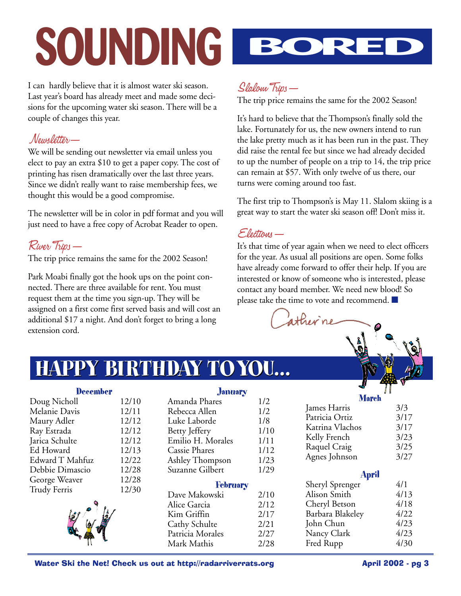# **SOUNDING BORED**

I can hardly believe that it is almost water ski season. Last year's board has already meet and made some decisions for the upcoming water ski season. There will be a couple of changes this year.

#### Newsletter—

We will be sending out newsletter via email unless you elect to pay an extra \$10 to get a paper copy. The cost of printing has risen dramatically over the last three years. Since we didn't really want to raise membership fees, we thought this would be a good compromise.

The newsletter will be in color in pdf format and you will just need to have a free copy of Acrobat Reader to open.

#### River Trips—

The trip price remains the same for the 2002 Season!

Park Moabi finally got the hook ups on the point connected. There are three available for rent. You must request them at the time you sign-up. They will be assigned on a first come first served basis and will cost an additional \$17 a night. And don't forget to bring a long extension cord.



#### Slalom Trips—

The trip price remains the same for the 2002 Season!

It's hard to believe that the Thompson's finally sold the lake. Fortunately for us, the new owners intend to run the lake pretty much as it has been run in the past. They did raise the rental fee but since we had already decided to up the number of people on a trip to 14, the trip price can remain at \$57. With only twelve of us there, our turns were coming around too fast.

The first trip to Thompson's is May 11. Slalom skiing is a great way to start the water ski season off! Don't miss it.

#### Elections—

It's that time of year again when we need to elect officers for the year. As usual all positions are open. Some folks have already come forward to offer their help. If you are interested or know of someone who is interested, please contact any board member. We need new blood! So please take the time to vote and recommend. ■

ather ne

**HAPPY BIRTHDAY TOYOU... HAPPY BIRTHDAY TOYOU...**

|                     |       |                      |      |                  | $\mathbf{F}$ |
|---------------------|-------|----------------------|------|------------------|--------------|
| <b>December</b>     |       | <b>January</b>       |      |                  |              |
| Doug Nicholl        | 12/10 | Amanda Phares        | 1/2  | <b>March</b>     |              |
| Melanie Davis       | 12/11 | Rebecca Allen        | 1/2  | James Harris     | 3/3          |
| Maury Adler         | 12/12 | Luke Laborde         | 1/8  | Patricia Ortiz   | 3/17         |
| Ray Estrada         | 12/12 | Betty Jeffery        | 1/10 | Katrina Vlachos  | 3/17         |
| Jarica Schulte      | 12/12 | Emilio H. Morales    | 1/11 | Kelly French     | 3/23         |
| Ed Howard           | 12/13 | <b>Cassie Phares</b> | 1/12 | Raquel Craig     | 3/25         |
| Edward T Mahfuz     | 12/22 | Ashley Thompson      | 1/23 | Agnes Johnson    | 3/27         |
| Debbie Dimascio     | 12/28 | Suzanne Gilbert      | 1/29 |                  |              |
| George Weaver       | 12/28 |                      |      | <b>April</b>     |              |
| <b>Trudy Ferris</b> | 12/30 | <b>February</b>      |      | Sheryl Sprenger  | 4/1          |
|                     |       | Dave Makowski        | 2/10 | Alison Smith     | 4/13         |
|                     |       | Alice Garcia         | 2/12 | Cheryl Betson    | 4/18         |
|                     |       | Kim Griffin          | 2/17 | Barbara Blakeley | 4/22         |
|                     |       | Cathy Schulte        | 2/21 | John Chun        | 4/23         |
|                     |       | Patricia Morales     | 2/27 | Nancy Clark      | 4/23         |
|                     |       | Mark Mathis          | 2/28 | Fred Rupp        | 4/30         |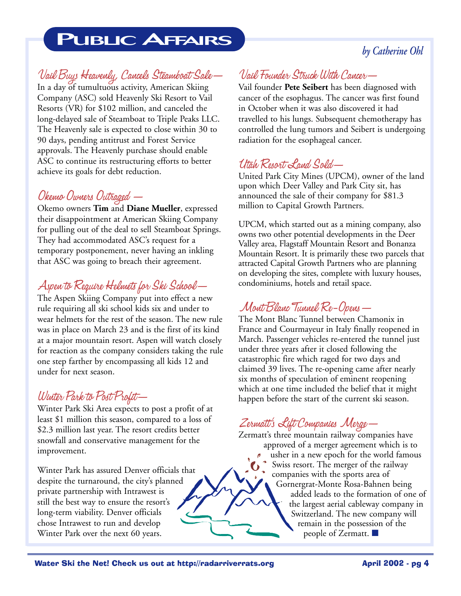# **PUBLIC AFFAIRS**

#### *by Catherine Ohl*

#### Vail Buys Heavenly, Cancels Steamboat Sale—

In a day of tumultuous activity, American Skiing Company (ASC) sold Heavenly Ski Resort to Vail Resorts (VR) for \$102 million, and canceled the long-delayed sale of Steamboat to Triple Peaks LLC. The Heavenly sale is expected to close within 30 to 90 days, pending antitrust and Forest Service approvals. The Heavenly purchase should enable ASC to continue its restructuring efforts to better achieve its goals for debt reduction.

#### Okemo Owners Outraged —

Okemo owners **Tim** and **Diane Mueller**, expressed their disappointment at American Skiing Company for pulling out of the deal to sell Steamboat Springs. They had accommodated ASC's request for a temporary postponement, never having an inkling that ASC was going to breach their agreement.

#### Aspen to Require Helmets for Ski School—

The Aspen Skiing Company put into effect a new rule requiring all ski school kids six and under to wear helmets for the rest of the season. The new rule was in place on March 23 and is the first of its kind at a major mountain resort. Aspen will watch closely for reaction as the company considers taking the rule one step farther by encompassing all kids 12 and under for next season.

#### Winter Park to Post Profit—

Winter Park Ski Area expects to post a profit of at least \$1 million this season, compared to a loss of \$2.3 million last year. The resort credits better snowfall and conservative management for the improvement.

Winter Park has assured Denver officials that despite the turnaround, the city's planned private partnership with Intrawest is still the best way to ensure the resort's long-term viability. Denver officials chose Intrawest to run and develop Winter Park over the next 60 years.

#### Vail Founder Struck With Cancer—

Vail founder **Pete Seibert** has been diagnosed with cancer of the esophagus. The cancer was first found in October when it was also discovered it had travelled to his lungs. Subsequent chemotherapy has controlled the lung tumors and Seibert is undergoing radiation for the esophageal cancer.

#### Utah Resort Land Sold—

United Park City Mines (UPCM), owner of the land upon which Deer Valley and Park City sit, has announced the sale of their company for \$81.3 million to Capital Growth Partners.

UPCM, which started out as a mining company, also owns two other potential developments in the Deer Valley area, Flagstaff Mountain Resort and Bonanza Mountain Resort. It is primarily these two parcels that attracted Capital Growth Partners who are planning on developing the sites, complete with luxury houses, condominiums, hotels and retail space.

#### Mont Blanc Tunnel Re-Opens—

The Mont Blanc Tunnel between Chamonix in France and Courmayeur in Italy finally reopened in March. Passenger vehicles re-entered the tunnel just under three years after it closed following the catastrophic fire which raged for two days and claimed 39 lives. The re-opening came after nearly six months of speculation of eminent reopening which at one time included the belief that it might happen before the start of the current ski season.

#### Zermatt's Lift Companies Merge—

Zermatt's three mountain railway companies have approved of a merger agreement which is to usher in a new epoch for the world famous Swiss resort. The merger of the railway companies with the sports area of Gornergrat-Monte Rosa-Bahnen being added leads to the formation of one of the largest aerial cableway company in Switzerland. The new company will remain in the possession of the people of Zermatt. ■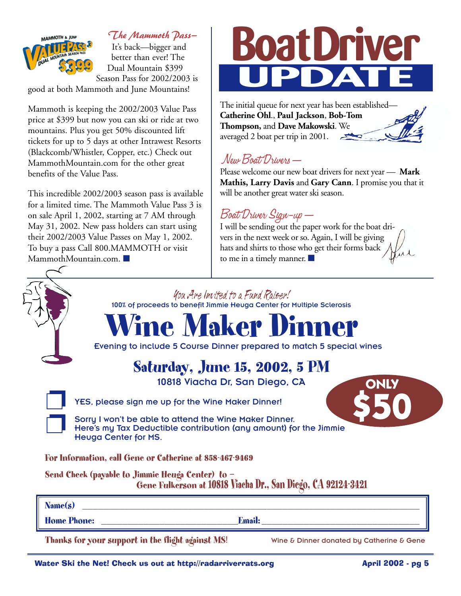

*The Mammoth Pass—*

It's back—bigger and better than ever! The Dual Mountain \$399 Season Pass for 2002/2003 is

good at both Mammoth and June Mountains!

Mammoth is keeping the 2002/2003 Value Pass price at \$399 but now you can ski or ride at two mountains. Plus you get 50% discounted lift tickets for up to 5 days at other Intrawest Resorts (Blackcomb/Whistler, Copper, etc.) Check out MammothMountain.com for the other great benefits of the Value Pass.

This incredible 2002/2003 season pass is available for a limited time. The Mammoth Value Pass 3 is on sale April 1, 2002, starting at 7 AM through May 31, 2002. New pass holders can start using their 2002/2003 Value Passes on May 1, 2002. To buy a pass Call 800.MAMMOTH or visit MammothMountain.com. ■



The initial queue for next year has been established— **Catherine Ohl**., **Paul Jackson**, **Bob-Tom Thompson,** and **Dave Makowski**. We averaged 2 boat per trip in 2001.

#### New Boat Drivers—

Please welcome our new boat drivers for next year — **Mark Mathis, Larry Davis** and **Gary Cann**. I promise you that it will be another great water ski season.

#### Boat Driver Sign-up—

I will be sending out the paper work for the boat drivers in the next week or so. Again, I will be giving hats and shirts to those who get their forms back to me in a timely manner. ■

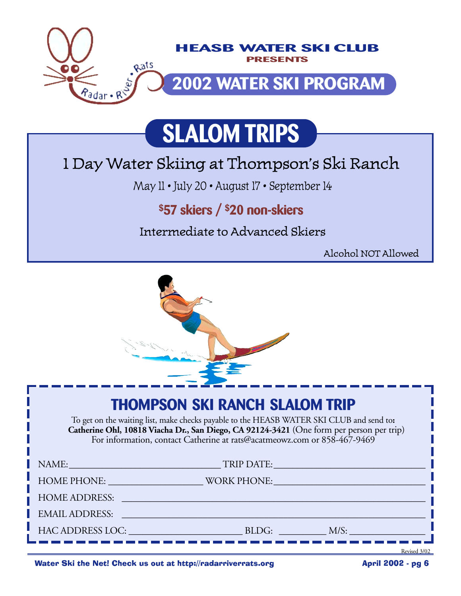

# **SLALOM TRIPS**

# 1 Day Water Skiing at Thompson's Ski Ranch

May 11 • July 20 • August 17 • September 14

## **\$57 skiers / \$20 non-skiers**

Intermediate to Advanced Skiers

Alcohol NOT Allowed



## **THOMPSON SKI RANCH SLALOM TRIP**

To get on the waiting list, make checks payable to the HEASB WATER SKI CLUB and send to**: Catherine Ohl, 10818 Viacha Dr., San Diego, CA 92124-3421** (One form per person per trip) For information, contact Catherine at rats@acatmeowz.com or 858-467-9469

| NAME:                |                                                                                                                                                                                                                               | TRIP DATE: VALUE AND TRIP DATE:                                                                                                                                                                                                        |
|----------------------|-------------------------------------------------------------------------------------------------------------------------------------------------------------------------------------------------------------------------------|----------------------------------------------------------------------------------------------------------------------------------------------------------------------------------------------------------------------------------------|
| HOME PHONE: NOTE:    |                                                                                                                                                                                                                               | WORK PHONE: NORTH PHONE                                                                                                                                                                                                                |
| <b>HOME ADDRESS:</b> |                                                                                                                                                                                                                               |                                                                                                                                                                                                                                        |
|                      |                                                                                                                                                                                                                               |                                                                                                                                                                                                                                        |
|                      | HAC ADDRESS LOC: The contract of the contract of the contract of the contract of the contract of the contract of the contract of the contract of the contract of the contract of the contract of the contract of the contract | BLDG: The contract of the contract of the contract of the contract of the contract of the contract of the contract of the contract of the contract of the contract of the contract of the contract of the contract of the cont<br>M/S: |
|                      |                                                                                                                                                                                                                               |                                                                                                                                                                                                                                        |

Water Ski the Net! Check us out at http://radarriverrats.org **Access April 2002** - pg 6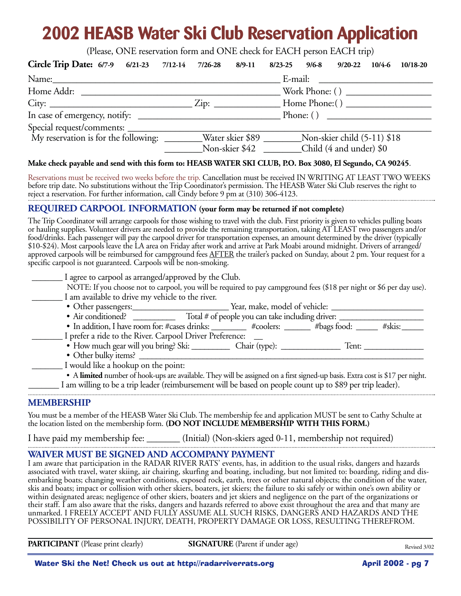# **2002 HEASB Water Ski Club Reservation Application**

(Please, ONE reservation form and ONE check for EACH person EACH trip)

| Circle Trip Date: 6/7-9 6/21-23 7/12-14 7/26-28 8/9-11                                             |                |  | 8/23-25 9/6-8 9/20-22 10/4-6 10/18-20 |  |
|----------------------------------------------------------------------------------------------------|----------------|--|---------------------------------------|--|
|                                                                                                    |                |  |                                       |  |
| Home Addr:                                                                                         |                |  |                                       |  |
|                                                                                                    |                |  |                                       |  |
|                                                                                                    |                |  | Phone: ()                             |  |
|                                                                                                    |                |  |                                       |  |
| My reservation is for the following: ________Water skier \$89 _________Non-skier child (5-11) \$18 |                |  |                                       |  |
|                                                                                                    | Non-skier \$42 |  | Child (4 and under) \$0               |  |

#### **Make check payable and send with this form to: HEASB WATER SKI CLUB, P.O. Box 3080, El Segundo, CA 90245**.

Reservations must be received two weeks before the trip. Cancellation must be received IN WRITING AT LEAST TWO WEEKS before trip date. No substitutions without the Trip Coordinator's permission. The HEASB Water Ski Club reserves the right to reject a reservation. For further information, call Cindy before 9 pm at (310) 306-4123.

#### **REQUIRED CARPOOL INFORMATION (your form may be returned if not complete)**

The Trip Coordinator will arrange carpools for those wishing to travel with the club. First priority is given to vehicles pulling boats or hauling supplies. Volunteer drivers are needed to provide the remaining transportation, taking AT LEAST two passengers and/or food/drinks. Each passenger will pay the carpool driver for transportation expenses, an amount determined by the driver (typically \$10-\$24). Most carpools leave the LA area on Friday after work and arrive at Park Moabi around midnight. Drivers of arranged/ approved carpools will be reimbursed for campground fees AFTER the trailer's packed on Sunday, about 2 pm. Your request for a specific carpool is not guaranteed. Carpools will be non-smoking.

| I agree to carpool as arranged/approved by the Club.                                                                          |  |       |        |  |
|-------------------------------------------------------------------------------------------------------------------------------|--|-------|--------|--|
| NOTE: If you choose not to carpool, you will be required to pay campground fees (\$18 per night or \$6 per day use).          |  |       |        |  |
| I am available to drive my vehicle to the river.                                                                              |  |       |        |  |
|                                                                                                                               |  |       |        |  |
| • Air conditioned? ________________ Total # of people you can take including driver:                                          |  |       |        |  |
| • In addition, I have room for: #cases drinks: _________ #coolers: ______ #bags food: _____                                   |  |       | #skis: |  |
| I prefer a ride to the River. Carpool Driver Preference:                                                                      |  |       |        |  |
| • How much gear will you bring? Ski: ______________ Chair (type): ______________                                              |  | Tent: |        |  |
| • Other bulky items?                                                                                                          |  |       |        |  |
| I would like a hookup on the point:                                                                                           |  |       |        |  |
| • A limited number of hook-ups are available. They will be assigned on a first signed-up basis. Extra cost is \$17 per night. |  |       |        |  |
| I am willing to be a trip leader (reimbursement will be based on people count up to \$89 per trip leader).                    |  |       |        |  |

#### **MEMBERSHIP**

You must be a member of the HEASB Water Ski Club. The membership fee and application MUST be sent to Cathy Schulte at the location listed on the membership form. **(DO NOT INCLUDE MEMBERSHIP WITH THIS FORM.)**

I have paid my membership fee: \_\_\_\_\_\_\_ (Initial) (Non-skiers aged 0-11, membership not required)

#### **WAIVER MUST BE SIGNED AND ACCOMPANY PAYMENT**

I am aware that participation in the RADAR RIVER RATS' events, has, in addition to the usual risks, dangers and hazards associated with travel, water skiing, air chairing, skurfing and boating, including, but not limited to: boarding, riding and disembarking boats; changing weather conditions, exposed rock, earth, trees or other natural objects; the condition of the water, skis and boats; impact or collision with other skiers, boaters, jet skiers; the failure to ski safely or within one's own ability or within designated areas; negligence of other skiers, boaters and jet skiers and negligence on the part of the organizations or their staff. I am also aware that the risks, dangers and hazards referred to above exist throughout the area and that many are unmarked. I FREELY ACCEPT AND FULLY ASSUME ALL SUCH RISKS, DANGERS AND HAZARDS AND THE POSSIBILITY OF PERSONAL INJURY, DEATH, PROPERTY DAMAGE OR LOSS, RESULTING THEREFROM.

**PARTICIPANT** (Please print clearly) **SIGNATURE** (Parent if under age)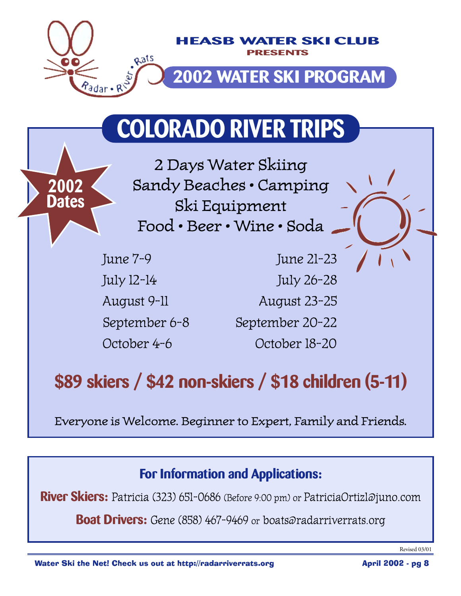

# **COLORADO RIVER TRIPS**

2 Days Water Skiing Sandy Beaches • Camping Ski Equipment Food • Beer • Wine • Soda

**2002**

**Dates**

June 7-9 June 21-23 July 12-14 July 26-28 August 9-11 August 23-25 September 6-8 September 20-22 October 4-6 October 18-20

# **\$89 skiers / \$42 non-skiers / \$18 children (5-11)**

Everyone is Welcome. Beginner to Expert, Family and Friends.

#### **For Information and Applications:**

**River Skiers:** Patricia (323) 651-0686 (Before 9:00 pm) or PatriciaOrtiz1@juno.com

**Boat Drivers:** Gene (858) 467-9469 or boats@radarriverrats.org

Revised 03/01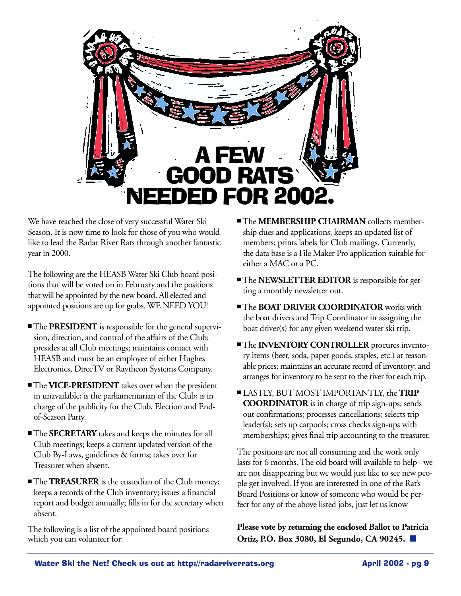

We have reached the close of very successful Water Ski Season. It is now time to look for those of you who would like to lead the Radar River Rats through another fantastic year in 2000.

The following are the HEASB Water Ski Club board positions that will be voted on in February and the positions that will be appointed by the new board. All elected and appointed positions are up for grabs. WE NEED YOU!

- The **PRESIDENT** is responsible for the general supervision, direction, and control of the affairs of the Club; presides at all Club meetings; maintains contact with HEASB and must be an employee of either Hughes Electronics, DirecTV or Raytheon Systems Company.
- The **VICE-PRESIDENT** takes over when the president in unavailable; is the parliamentarian of the Club; is in charge of the publicity for the Club, Election and Endof-Season Party.
- The **SECRETARY** takes and keeps the minutes for all Club meetings; keeps a current updated version of the Club By-Laws, guidelines & forms; takes over for Treasurer when absent.
- The **TREASURER** is the custodian of the Club money; keeps a records of the Club inventory; issues a financial report and budget annually; fills in for the secretary when absent.

The following is a list of the appointed board positions which you can volunteer for:

- The **MEMBERSHIP CHAIRMAN** collects membership dues and applications; keeps an updated list of members; prints labels for Club mailings. Currently, the data base is a File Maker Pro application suitable for either a MAC or a PC.
- The **NEWSLETTER EDITOR** is responsible for getting a monthly newsletter out.
- The **BOAT DRIVER COORDINATOR** works with the boat drivers and Trip Coordinator in assigning the boat driver(s) for any given weekend water ski trip.
- The **INVENTORY CONTROLLER** procures inventory items (beer, soda, paper goods, staples, etc.) at reasonable prices; maintains an accurate record of inventory; and arranges for inventory to be sent to the river for each trip.
- LASTLY, BUT MOST IMPORTANTLY, the **TRIP COORDINATOR** is in charge of trip sign-ups; sends out confirmations; processes cancellations; selects trip leader(s); sets up carpools; cross checks sign-ups with memberships; gives final trip accounting to the treasurer.

The positions are not all consuming and the work only lasts for 6 months. The old board will available to help –we are not disappearing but we would just like to see new people get involved. If you are interested in one of the Rat's Board Positions or know of someone who would be perfect for any of the above listed jobs, just let us know

**Please vote by returning the enclosed Ballot to Patricia Ortiz, P.O. Box 3080, El Segundo, CA 90245.** ■